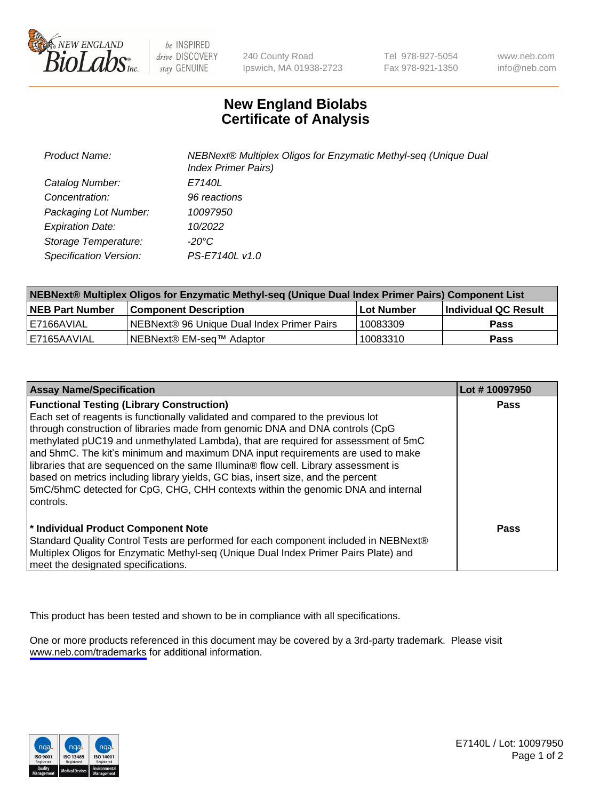

be INSPIRED drive DISCOVERY stay GENUINE

240 County Road Ipswich, MA 01938-2723 Tel 978-927-5054 Fax 978-921-1350

www.neb.com info@neb.com

## **New England Biolabs Certificate of Analysis**

| Product Name:           | NEBNext® Multiplex Oligos for Enzymatic Methyl-seq (Unique Dual<br><b>Index Primer Pairs)</b> |
|-------------------------|-----------------------------------------------------------------------------------------------|
| Catalog Number:         | E7140L                                                                                        |
| Concentration:          | 96 reactions                                                                                  |
| Packaging Lot Number:   | 10097950                                                                                      |
| <b>Expiration Date:</b> | 10/2022                                                                                       |
| Storage Temperature:    | -20°C                                                                                         |
| Specification Version:  | PS-E7140L v1.0                                                                                |

| NEBNext® Multiplex Oligos for Enzymatic Methyl-seq (Unique Dual Index Primer Pairs) Component List |                                                   |            |                      |  |
|----------------------------------------------------------------------------------------------------|---------------------------------------------------|------------|----------------------|--|
| <b>NEB Part Number</b>                                                                             | <b>Component Description</b>                      | Lot Number | Individual QC Result |  |
| I E7166AVIAL                                                                                       | <b>NEBNext® 96 Unique Dual Index Primer Pairs</b> | 10083309   | <b>Pass</b>          |  |
| E7165AAVIAL                                                                                        | NEBNext® EM-seq™ Adaptor                          | 10083310   | <b>Pass</b>          |  |

| <b>Assay Name/Specification</b>                                                      | Lot #10097950 |
|--------------------------------------------------------------------------------------|---------------|
| <b>Functional Testing (Library Construction)</b>                                     | <b>Pass</b>   |
| Each set of reagents is functionally validated and compared to the previous lot      |               |
| through construction of libraries made from genomic DNA and DNA controls (CpG        |               |
| methylated pUC19 and unmethylated Lambda), that are required for assessment of 5mC   |               |
| and 5hmC. The kit's minimum and maximum DNA input requirements are used to make      |               |
| libraries that are sequenced on the same Illumina® flow cell. Library assessment is  |               |
| based on metrics including library yields, GC bias, insert size, and the percent     |               |
| 5mC/5hmC detected for CpG, CHG, CHH contexts within the genomic DNA and internal     |               |
| controls.                                                                            |               |
|                                                                                      |               |
| * Individual Product Component Note                                                  | Pass          |
| Standard Quality Control Tests are performed for each component included in NEBNext® |               |
| Multiplex Oligos for Enzymatic Methyl-seq (Unique Dual Index Primer Pairs Plate) and |               |
| meet the designated specifications.                                                  |               |

This product has been tested and shown to be in compliance with all specifications.

One or more products referenced in this document may be covered by a 3rd-party trademark. Please visit <www.neb.com/trademarks>for additional information.